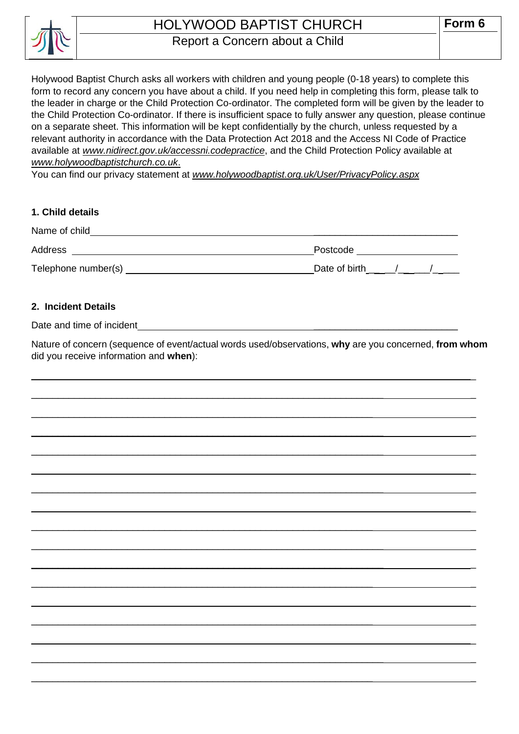

## HOLYWOOD BAPTIST CHURCH Report a Concern about a Child

Holywood Baptist Church asks all workers with children and young people (0-18 years) to complete this form to record any concern you have about a child. If you need help in completing this form, please talk to the leader in charge or the Child Protection Co-ordinator. The completed form will be given by the leader to the Child Protection Co-ordinator. If there is insufficient space to fully answer any question, please continue on a separate sheet. This information will be kept confidentially by the church, unless requested by a relevant authority in accordance with the Data Protection Act 2018 and the Access NI Code of Practice available at *[www.nidirect.gov.uk/accessni.codepractice](http://www.nidirect.gov.uk/accessni.codepractice)*, and the Child Protection Policy available at *[www.holywoodbaptistchurch.co.uk](http://www.holywoodbaptistchurch.co.uk/)*.

You can find our privacy statement at *www.holywoodbaptist.org.uk/User/PrivacyPolicy.aspx*

### **1. Child details**

| Name of child       |               |
|---------------------|---------------|
| Address             | Postcode      |
| Telephone number(s) | Date of birth |

#### **2. Incident Details**

Date and time of incident

Nature of concern (sequence of event/actual words used/observations, **why** are you concerned, **from whom** did you receive information and **when**):

 $\_$  , and the set of the set of the set of the set of the set of the set of the set of the set of the set of the set of the set of the set of the set of the set of the set of the set of the set of the set of the set of th

 $\_$  , and the contribution of the contribution of  $\mathcal{L}_\mathcal{A}$  , and the contribution of  $\mathcal{L}_\mathcal{A}$ 

 $\_$  , and the set of the set of the set of the set of the set of the set of the set of the set of the set of the set of the set of the set of the set of the set of the set of the set of the set of the set of the set of th

 $\_$  , and the set of the set of the set of the set of the set of the set of the set of the set of the set of the set of the set of the set of the set of the set of the set of the set of the set of the set of the set of th

 $\_$  , and the set of the set of the set of the set of the set of the set of the set of the set of the set of the set of the set of the set of the set of the set of the set of the set of the set of the set of the set of th

\_\_\_\_\_\_\_\_\_\_\_\_\_\_\_\_\_\_\_\_\_\_\_\_\_\_\_\_\_\_\_\_\_\_\_\_\_\_\_\_\_\_\_\_\_\_\_\_\_\_\_\_\_\_\_\_\_\_\_\_\_\_\_\_ \_

\_\_\_\_\_\_\_\_\_\_\_\_\_\_\_\_\_\_\_\_\_\_\_\_\_\_\_\_\_\_\_\_\_\_\_\_\_\_\_\_\_\_\_\_\_\_\_\_\_\_\_\_\_\_\_\_\_\_\_\_\_\_\_\_\_\_ \_

 $\_$  , and the set of the set of the set of the set of the set of the set of the set of the set of the set of the set of the set of the set of the set of the set of the set of the set of the set of the set of the set of th

 $\_$  , and the set of the set of the set of the set of the set of the set of the set of the set of the set of the set of the set of the set of the set of the set of the set of the set of the set of the set of the set of th

 $\_$  , and the set of the set of the set of the set of the set of the set of the set of the set of the set of the set of the set of the set of the set of the set of the set of the set of the set of the set of the set of th

 $\_$  , and the set of the set of the set of the set of the set of the set of the set of the set of the set of the set of the set of the set of the set of the set of the set of the set of the set of the set of the set of th

 $\_$  , and the set of the set of the set of the set of the set of the set of the set of the set of the set of the set of the set of the set of the set of the set of the set of the set of the set of the set of the set of th

 $\_$  , and the set of the set of the set of the set of the set of the set of the set of the set of the set of the set of the set of the set of the set of the set of the set of the set of the set of the set of the set of th

\_\_\_\_\_\_\_\_\_\_\_\_\_\_\_\_\_\_\_\_\_\_\_\_\_\_\_\_\_\_\_\_\_\_\_\_\_\_\_\_\_\_\_\_\_\_\_\_\_\_\_\_\_\_\_\_\_\_\_\_\_\_\_\_ \_

\_\_\_\_\_\_\_\_\_\_\_\_\_\_\_\_\_\_\_\_\_\_\_\_\_\_\_\_\_\_\_\_\_\_\_\_\_\_\_\_\_\_\_\_\_\_\_\_\_\_\_\_\_\_\_\_\_\_\_\_\_\_\_\_\_\_ \_

 $\_$  , and the set of the set of the set of the set of the set of the set of the set of the set of the set of the set of the set of the set of the set of the set of the set of the set of the set of the set of the set of th

 $\_$  , and the set of the set of the set of the set of the set of the set of the set of the set of the set of the set of the set of the set of the set of the set of the set of the set of the set of the set of the set of th